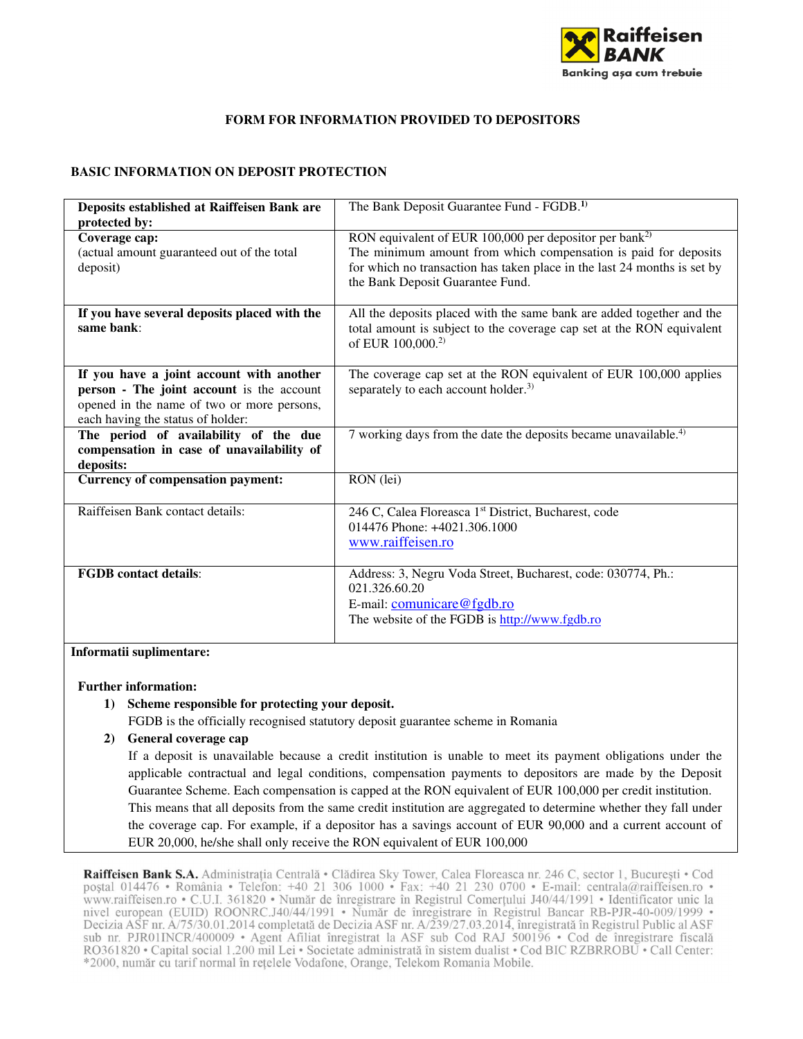

# **FORM FOR INFORMATION PROVIDED TO DEPOSITORS**

### **BASIC INFORMATION ON DEPOSIT PROTECTION**

| Deposits established at Raiffeisen Bank are<br>protected by:                                                                                                             | The Bank Deposit Guarantee Fund - FGDB. <sup>1)</sup>                                                                                                                                                                                                 |
|--------------------------------------------------------------------------------------------------------------------------------------------------------------------------|-------------------------------------------------------------------------------------------------------------------------------------------------------------------------------------------------------------------------------------------------------|
| Coverage cap:<br>(actual amount guaranteed out of the total<br>deposit)                                                                                                  | RON equivalent of EUR 100,000 per depositor per bank <sup>2)</sup><br>The minimum amount from which compensation is paid for deposits<br>for which no transaction has taken place in the last 24 months is set by<br>the Bank Deposit Guarantee Fund. |
| If you have several deposits placed with the<br>same bank:                                                                                                               | All the deposits placed with the same bank are added together and the<br>total amount is subject to the coverage cap set at the RON equivalent<br>of EUR 100,000. <sup>2)</sup>                                                                       |
| If you have a joint account with another<br>person - The joint account is the account<br>opened in the name of two or more persons,<br>each having the status of holder: | The coverage cap set at the RON equivalent of EUR 100,000 applies<br>separately to each account holder. <sup>3)</sup>                                                                                                                                 |
| The period of availability of the due<br>compensation in case of unavailability of<br>deposits:                                                                          | 7 working days from the date the deposits became unavailable. <sup>4)</sup>                                                                                                                                                                           |
| <b>Currency of compensation payment:</b>                                                                                                                                 | RON (lei)                                                                                                                                                                                                                                             |
| Raiffeisen Bank contact details:                                                                                                                                         | 246 C, Calea Floreasca 1 <sup>st</sup> District, Bucharest, code<br>014476 Phone: +4021.306.1000<br>www.raiffeisen.ro                                                                                                                                 |
| <b>FGDB</b> contact details:                                                                                                                                             | Address: 3, Negru Voda Street, Bucharest, code: 030774, Ph.:<br>021.326.60.20<br>E-mail: comunicare@fgdb.ro<br>The website of the FGDB is http://www.fgdb.ro                                                                                          |

**Informatii suplimentare:** 

#### **Further information:**

**1) Scheme responsible for protecting your deposit.** 

FGDB is the officially recognised statutory deposit guarantee scheme in Romania

**2) General coverage cap** 

If a deposit is unavailable because a credit institution is unable to meet its payment obligations under the applicable contractual and legal conditions, compensation payments to depositors are made by the Deposit Guarantee Scheme. Each compensation is capped at the RON equivalent of EUR 100,000 per credit institution. This means that all deposits from the same credit institution are aggregated to determine whether they fall under the coverage cap. For example, if a depositor has a savings account of EUR 90,000 and a current account of EUR 20,000, he/she shall only receive the RON equivalent of EUR 100,000

Raiffeisen Bank S.A. Administrația Centrală • Clădirea Sky Tower, Calea Floreasca nr. 246 C, sector 1, București • Cod poștal 014476 • România • Telefon: +40 21 306 1000 • Fax: +40 21 230 0700 • E-mail: centrala@raiffeisen.ro • www.raiffeisen.ro • C.U.I. 361820 • Număr de înregistrare în Registrul Comerțului J40/44/1991 • Identificator unic la nivel european (EUID) ROONRC.J40/44/1991 · Număr de înregistrare în Registrul Bancar RB-PJR-40-009/1999 · Decizia ASF nr. A/75/30.01.2014 completată de Decizia ASF nr. A/239/27.03.2014, înregistrată în Registrul Public al ASF sub nr. PJR01INCR/400009 · Agent Afiliat înregistrat la ASF sub Cod RAJ 500196 · Cod de înregistrare fiscală RO361820 • Capital social 1.200 mil Lei • Societate administrată în sistem dualist • Cod BIC RZBRROBU • Call Center: \*2000, număr cu tarif normal în rețelele Vodafone, Orange, Telekom Romania Mobile.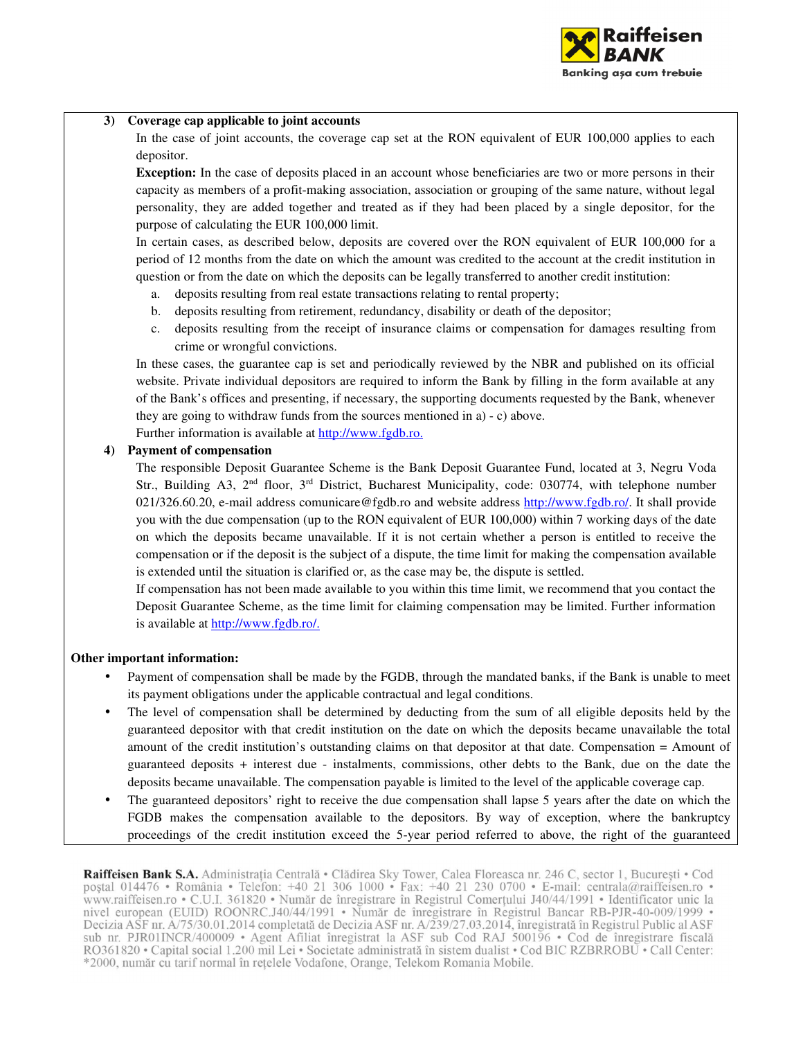

#### **3) Coverage cap applicable to joint accounts**

In the case of joint accounts, the coverage cap set at the RON equivalent of EUR 100,000 applies to each depositor.

**Exception:** In the case of deposits placed in an account whose beneficiaries are two or more persons in their capacity as members of a profit-making association, association or grouping of the same nature, without legal personality, they are added together and treated as if they had been placed by a single depositor, for the purpose of calculating the EUR 100,000 limit.

In certain cases, as described below, deposits are covered over the RON equivalent of EUR 100,000 for a period of 12 months from the date on which the amount was credited to the account at the credit institution in question or from the date on which the deposits can be legally transferred to another credit institution:

- a. deposits resulting from real estate transactions relating to rental property;
- b. deposits resulting from retirement, redundancy, disability or death of the depositor;
- c. deposits resulting from the receipt of insurance claims or compensation for damages resulting from crime or wrongful convictions.

In these cases, the guarantee cap is set and periodically reviewed by the NBR and published on its official website. Private individual depositors are required to inform the Bank by filling in the form available at any of the Bank's offices and presenting, if necessary, the supporting documents requested by the Bank, whenever they are going to withdraw funds from the sources mentioned in a) - c) above.

Further information is available at http://www.fgdb.ro.

## **4) Payment of compensation**

The responsible Deposit Guarantee Scheme is the Bank Deposit Guarantee Fund, located at 3, Negru Voda Str., Building A3,  $2<sup>nd</sup>$  floor,  $3<sup>rd</sup>$  District, Bucharest Municipality, code: 030774, with telephone number 021/326.60.20, e-mail address comunicare@fgdb.ro and website address http://www.fgdb.ro/. It shall provide you with the due compensation (up to the RON equivalent of EUR 100,000) within 7 working days of the date on which the deposits became unavailable. If it is not certain whether a person is entitled to receive the compensation or if the deposit is the subject of a dispute, the time limit for making the compensation available is extended until the situation is clarified or, as the case may be, the dispute is settled.

If compensation has not been made available to you within this time limit, we recommend that you contact the Deposit Guarantee Scheme, as the time limit for claiming compensation may be limited. Further information is available at http://www.fgdb.ro/.

#### **Other important information:**

- Payment of compensation shall be made by the FGDB, through the mandated banks, if the Bank is unable to meet its payment obligations under the applicable contractual and legal conditions.
- The level of compensation shall be determined by deducting from the sum of all eligible deposits held by the guaranteed depositor with that credit institution on the date on which the deposits became unavailable the total amount of the credit institution's outstanding claims on that depositor at that date. Compensation = Amount of guaranteed deposits + interest due - instalments, commissions, other debts to the Bank, due on the date the deposits became unavailable. The compensation payable is limited to the level of the applicable coverage cap.
- The guaranteed depositors' right to receive the due compensation shall lapse 5 years after the date on which the FGDB makes the compensation available to the depositors. By way of exception, where the bankruptcy proceedings of the credit institution exceed the 5-year period referred to above, the right of the guaranteed

Raiffeisen Bank S.A. Administrația Centrală • Clădirea Sky Tower, Calea Floreasca nr. 246 C, sector 1, București • Cod postal 014476 • România • Telefon: +40 21 306 1000 • Fax: +40 21 230 0700 • E-mail: centrala@raiffeisen.ro • www.raiffeisen.ro • C.U.I. 361820 • Număr de înregistrare în Registrul Comerțului J40/44/1991 • Identificator unic la nivel european (EUID) ROONRC.J40/44/1991 • Număr de înregistrare în Registrul Bancar RB-PJR-40-009/1999 • Decizia ASF nr. A/75/30.01.2014 completată de Decizia ASF nr. A/239/27.03.2014, înregistrată în Registrul Public al ASF sub nr. PJR01INCR/400009 · Agent Afiliat înregistrat la ASF sub Cod RAJ 500196 · Cod de înregistrare fiscală RO361820 • Capital social 1.200 mil Lei • Societate administrată în sistem dualist • Cod BIC RZBRROBU • Call Center: \*2000, număr cu tarif normal în rețelele Vodafone, Orange, Telekom Romania Mobile.